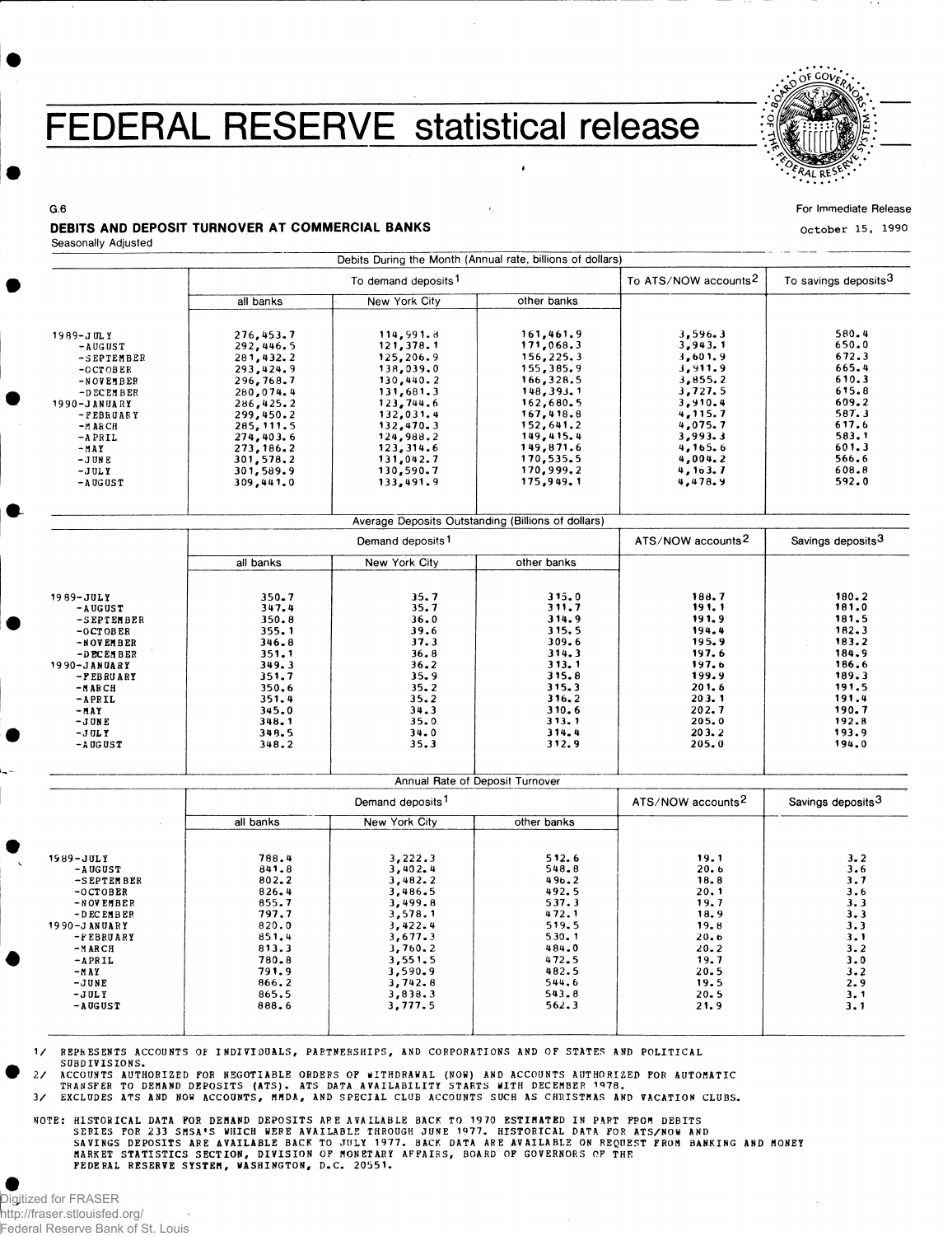## FEDERAL RESERVE statistical release



For Immediate Release

**October 15, 1990**

## DEBITS AND DEPOSIT TURNOVER AT COMMERCIAL BANKS

Seasonally Adjusted

G.6

|                              |                              | Debits During the Month (Annual rate, billions of dollars) |                                                    |                                  |                               |
|------------------------------|------------------------------|------------------------------------------------------------|----------------------------------------------------|----------------------------------|-------------------------------|
|                              |                              | To demand deposits <sup>1</sup>                            | To ATS/NOW accounts <sup>2</sup>                   | To savings deposits <sup>3</sup> |                               |
|                              | all banks                    | <b>New York City</b>                                       | other banks                                        |                                  |                               |
| 1989-JULY<br>$-$ AUGUST      | 276,453.7<br>292,446.5       | 114,991.8<br>121,378.1                                     | 161,461.9<br>171,068.3                             | 3,596.3<br>3,943.1               | 580.4<br>650.0                |
| -SEPTEMBER                   | 281,432.2                    | 125,206.9                                                  | 156,225.3                                          | 3,601.9                          | 672.3                         |
| $-0CTOBER$                   | 293,424.9                    | 138,039.0                                                  | 155,385.9                                          | 3,911.9                          | 665.4                         |
| -NOVEMBER                    | 296,768.7                    | 130,440.2                                                  | 166,328.5                                          | 3,855.2                          | 610.3                         |
| $-D$ EC EM B ER              | 280,074.4                    | 131,681.3                                                  | 148, 393.1                                         | 3,727.5                          | 615.8                         |
| 1990-JANUARY                 | 286,425.2                    | 123,744.6                                                  | 162,680.5                                          | 3,910.4                          | 609.2                         |
| -FEBRUARY                    | 299,450.2                    | 132,031.4                                                  | 167, 418.8                                         | 4,115.7                          | 587.3                         |
| $-MARCH$                     | 285, 111.5                   | 132,470.3                                                  | 152,641.2                                          | 4,075.7                          | 617.6                         |
| $-$ APRIL                    | 274,403.6                    | 124,988.2                                                  | 149,415.4                                          | 3,993.3                          | 583.1                         |
| -MAY                         | 273, 186.2                   | 123, 314.6                                                 | 149,871.6                                          | 4,165.6                          | 601.3                         |
| $-J$ UNE                     | 301,578.2                    | 131,042.7                                                  | 170,535.5                                          | 4,004.2                          | 566.6                         |
| $-JULY$                      | 301,589.9                    | 130,590.7                                                  | 170,999.2                                          | 4, 163.7                         | 608.8                         |
| $-$ AUGUST                   | 309,441.0                    | 133,491.9                                                  | 175,949.1                                          | 4,478.9                          | 592.0                         |
|                              |                              |                                                            | Average Deposits Outstanding (Billions of dollars) |                                  |                               |
|                              |                              | Demand deposits <sup>1</sup>                               |                                                    | ATS/NOW accounts <sup>2</sup>    | Savings deposits <sup>3</sup> |
|                              | all banks                    | New York City                                              | other banks                                        |                                  |                               |
|                              |                              |                                                            |                                                    |                                  |                               |
| 1989-JULY                    | 350.7<br>347.4               | 35.7<br>35.7                                               | 315.0<br>311.7                                     | 188.7<br>191.1                   | 180.2<br>181.0                |
| -AUGUST                      | 350.8                        | 36.0                                                       | 314.9                                              | 191.9                            | 181.5                         |
| -SEPTEMBER<br>$-0$ CTOBER    | 355.1                        | 39.6                                                       | 315.5                                              | 194.4                            | 182.3                         |
| -NOVEMBER                    | 346.8                        | 37.3                                                       | 309.6                                              | 195.9                            | 183.2                         |
| -DECEMBER                    | 351.1                        | 36.8                                                       | 314.3                                              | 197.6                            | 184.9                         |
| 1990-JANUARY                 | 349.3                        | 36.2                                                       | 313.1                                              | 197.6                            | 186.6                         |
| -FEBRUARY                    | 351.7                        | 35.9                                                       | 315.8                                              | 199.9                            | 189.3                         |
| -MARCH                       | 350.6                        | 35.2                                                       | 315.3                                              | 201.6                            | 191.5                         |
| $-APRIL$                     | 351.4                        | 35.2                                                       | 316.2                                              | 203.1                            | 191.4                         |
| -MAY                         | 345.0                        | 34.3                                                       | 310.6                                              | 202.7                            | 190.7                         |
| $-JUNE$                      | 348.1                        | 35.0                                                       | 313.1                                              | 205.0                            | 192.8                         |
| $-JULY$<br>$ \Lambda$ UG UST | 348.5<br>348.2               | 34.0<br>35.3                                               | 314.4<br>312.9                                     | 203.2<br>205.0                   | 193.9<br>194.0                |
|                              |                              |                                                            |                                                    |                                  |                               |
|                              |                              |                                                            | Annual Rate of Deposit Turnover                    |                                  |                               |
|                              | Demand deposits <sup>1</sup> |                                                            |                                                    | ATS/NOW accounts <sup>2</sup>    | Savings deposits <sup>3</sup> |
|                              | all banks                    | <b>New York City</b>                                       | other banks                                        |                                  |                               |
| 1989-JULY                    | 788.4                        | 3,222.3                                                    | 512.6                                              | 19.1                             | 3.2                           |
| $-$ AUGUST                   | 841.8                        | 3,402.4                                                    | 548.8                                              | 20.6                             | 3.6                           |
| -SEPTEMBER                   | 802.2                        | 3,482.2                                                    | 496.2                                              | 18.8                             | 3.7                           |
| $-0$ CTOBER                  | 826.4                        | 3,486.5                                                    | 492.5                                              | 20.1                             | 3.6                           |
| -NOVEMBER                    | 855.7                        | 3,499.8                                                    | 537.3                                              | 19.7                             | 3.3                           |
| $-$ D EC EMBER               | 797.7<br>820.0               | 3,578.1<br>3,422.4                                         | 472.1<br>519.5                                     | 18.9<br>19.8                     | 3.3<br>3.3                    |
| 1990-JANUARY<br>-FEBRUARY    | 851.4                        | 3,677.3                                                    | 530.1                                              | 20.6                             | 3.1                           |
| $-MARCH$                     | 813.3                        | 3,760.2                                                    | 484.0                                              | 20.2                             | 3.2                           |
| $-APRIL$                     | 780.8                        | 3,551.5                                                    | 472.5                                              | 19.7                             | 3.0                           |
| $-MAY$                       | 791.9                        | 3,590.9                                                    | 482.5                                              | 20.5                             | 3.2                           |
| -JUNE                        | 866.2                        | 3,742.8                                                    | 544.6                                              | 19.5                             | 2.9                           |
| $-JULY$                      | 865.5                        | 3,838.3                                                    | 543.8                                              | 20.5                             | 3.1                           |
| $-$ AUGUST                   | 888.6                        | 3,777.5                                                    | 562.3                                              | 21.9                             | 3.1                           |
|                              |                              |                                                            |                                                    |                                  |                               |

1/ REPRESENTS ACCOUNTS OF INDIVIDUALS, PARTNERSHIPS, AND CORPORATIONS AND OF STATES AND POLITICAL SUBDIVISIONS .

2/ ACCOUNTS AUTHORIZED FOR NEGOTIABLE ORDERS OF WITHDRAWAL (NOW) AND ACCOUNTS AUTHORIZED FOR AUTOMATIC<br>TRANSFER TO DEMAND DEPOSITS (ATS). ATS DATA AVAILABILITY STARTS WITH DECEMBER 1978.

3/ EXCLUDES ATS AND NOW ACCOUNTS, MMDA, AND SPECIAL CLUB ACCOUNTS SUCH AS CHRISTMAS AND VACATION CLUBS.

NOTE: HISTORICAL DATA FOR DEMAND DEPOSITS ARE AVAILABLE BACK TO 1970 ESTIMATED IN PART FROM DEBITS<br>SENINGS DEPOSITS ARE AVAILABLE BACK TO JULY 1977. BACK DATA ARE AVAILABLE ON REQUEST FROM BANKING AND MONEY<br>SAVINGS DEPOSIT